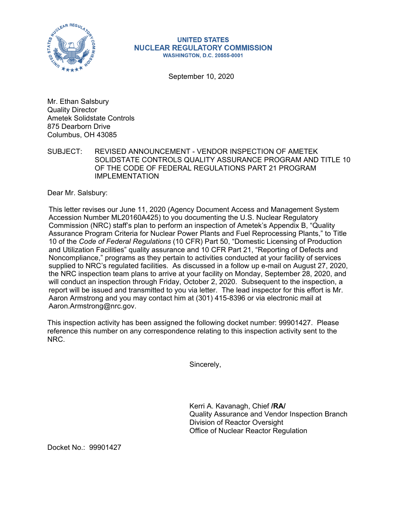

## **UNITED STATES NUCLEAR REGULATORY COMMISSION WASHINGTON, D.C. 20555-0001**

September 10, 2020

Mr. Ethan Salsbury Quality Director Ametek Solidstate Controls 875 Dearborn Drive Columbus, OH 43085

SUBJECT: REVISED ANNOUNCEMENT - VENDOR INSPECTION OF AMETEK SOLIDSTATE CONTROLS QUALITY ASSURANCE PROGRAM AND TITLE 10 OF THE CODE OF FEDERAL REGULATIONS PART 21 PROGRAM IMPLEMENTATION

Dear Mr. Salsbury:

This letter revises our June 11, 2020 (Agency Document Access and Management System Accession Number ML20160A425) to you documenting the U.S. Nuclear Regulatory Commission (NRC) staff's plan to perform an inspection of Ametek's Appendix B, "Quality Assurance Program Criteria for Nuclear Power Plants and Fuel Reprocessing Plants," to Title 10 of the *Code of Federal Regulations* (10 CFR) Part 50, "Domestic Licensing of Production and Utilization Facilities" quality assurance and 10 CFR Part 21, "Reporting of Defects and Noncompliance," programs as they pertain to activities conducted at your facility of services supplied to NRC's regulated facilities. As discussed in a follow up e-mail on August 27, 2020, the NRC inspection team plans to arrive at your facility on Monday, September 28, 2020, and will conduct an inspection through Friday, October 2, 2020. Subsequent to the inspection, a report will be issued and transmitted to you via letter. The lead inspector for this effort is Mr. Aaron Armstrong and you may contact him at (301) 415-8396 or via electronic mail at Aaron.Armstrong@nrc.gov.

This inspection activity has been assigned the following docket number: 99901427. Please reference this number on any correspondence relating to this inspection activity sent to the NRC.

Sincerely,

Kerri A. Kavanagh, Chief **/RA/**  Quality Assurance and Vendor Inspection Branch Division of Reactor Oversight Office of Nuclear Reactor Regulation

Docket No.: 99901427